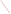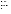# **Technical Factsheet on: PICLORAM**

# [List of Contaminants](http://www.epa.gov/safewater/hfacts.html)

 As part of the Drinking Water and Health pages, this fact sheet is part of a larger publication: **National Primary Drinking Water Regulations** 

 MCL: 0.5 mg/L HAL(child): 1- to 10- day: 20 mg/L; Longer-term: 0.7 mg/L Drinking Water Standards MCLG: 0.5 mg/L

### **Health Effects Summary**

 levels above the MCL: damage to central nervous system, weakness, diarrhea, weight loss. Acute: EPA has found picloram to potentially cause the following health effects from acute exposures at

 consuming 1 liter of water per day, a one- to ten-day exposure to 20 mg/L or up to a 7-year exposure to Drinking water levels which are considered "safe" for short-term exposures: For a 10-kg (22 lb.) child 0.7 mg/L.

 levels above the MCL: liver damage. Chronic: Picloram has the potential to cause the following health effects from long-term exposures at

 from a lifetime exposure in drinking water. Cancer: There is inadequate evidence to state whether or not picloram has the potential to cause cancer

### **Usage Patterns**

 Picloram is a systemic herbicide used in salt form for controlling annual weeds on crops, and in combination with 2,4-D or 2,4,5-T against perennials on non-croplands for brush control. Picloram is used to control bitterweed, knapweed, leafy spurge, locoweed, larkspur, mesquite, prickly pear, and snakeweed on rangeland in the western states.

EPA estimates that 300,000 lbs. of picloram were produced in the US in 1982.

### **Release Patterns**

 Picloram is released to the environment primarily from its application as a herbicide, and also during its production and handling. Since picloram is not a listed chemical in the Toxics Release Inventory, data on releases during its manufacture and handling are not available.

### **Environmental Fate**

Picloram is the most persistent of the chlorobenzoic acid herbicides.

 If picloram is released to soil it will not be expected to adsorb to the soil and may leach to groundwater, a an aromatic amine, and some aromatic amines have been shown to bind to humic materials which may hydrolyze or evaporate from soils or surfaces. It may be subject to significant biodegradation in soils and conclusion supported by the detection of picloram in some groundwater samples. However, picloram is be present in some moist soils; this binding may decrease leaching processes. It will not be expected to ground water, with reported half-lives in soils ranging from 55-100 days or more.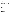hydrolyze. It will be subject to significant near surface photolysis with reported half-lives ranging from 2.3- waters. As an aromatic amine, its rate of degradation in water and soil may be increased due to oxidation If released to water it will not be expected to adsorb to sediments, to evaporate, or to appreciably 41.3 days. Based on biodegradation in soils and groundwater, it may be subject to degradation in surface by free radicals, adsorption to humic materials followed by oxidation, and catalytic oxidation by cations, although no experimental data specific to picloram were found.

 If released to the atmosphere it will be subject to significant deposition and washout due to its low vapor result of reaction with photochemically produced hydroxyl radicals. Picloram is not expected to bioconcentrate in aquatic organisms based on a reported BCF of 31 in fish and estimated BCFs of 1 to pressure (will adsorb to particulate matter) and significant water solubility. It may also be subject to significant direct photolysis. The estimated vapor phase half-life in the atmosphere is 12.21 days as a 20.

General human exposure will occur mainly through its manufacture and use as a herbicide.

# **Chemical/ Physical Properties**

CAS Number: 1918-02-1

Color/ Form/Odor: Colorless crystals or powder with a chlorine-like odor; forms water soluble salts<br>M.P.: 218-219 C B.P.: \_ C<br>Vapor Pressure: 6.2x10-7 mm Hg, 25 C

Octanol/Water Partition (Kow): N/A

Density/Spec. Grav.: N/A

Solubility: 430 mg/L of water at 25 C; Soluble in water

Octanol/Water Partition (Kow): N/A<br>Density/Spec. Grav.: N/A<br>Solubility: 430 mg/L of water at 25 C; Soluble in water<br>Soil sorption coefficient: Koc average= 13; moderate mobility in soil

Odor/Taste Thresholds: N/A

Bioconcentration Factor: BCF=31 in fish; not expected to bioconcentrate in aquatic organisms.

Henry's Law Coefficient: N/A; negligible volatilization

Trade Names/Synonyms: 4-amino-3,5,6-trichloropicolinic acid; "Agent White"; Tordon

### **Other Regulatory Information**

Monitoring For Ground/Surface Water Sources:

 Initial Frequency- 4 quarterly samples every 3 years Repeat Frequency- If no detections during initial round: 2 quarterly per year if serving >3300 persons; 1 sample per 3 years for smaller systems 1 sample per 3 years for smaller systems Triggers - Return to Initial Freq. if detect at > 0.0001 mg/L Analysis:

US EPA ARCHIVE DOCUMENT